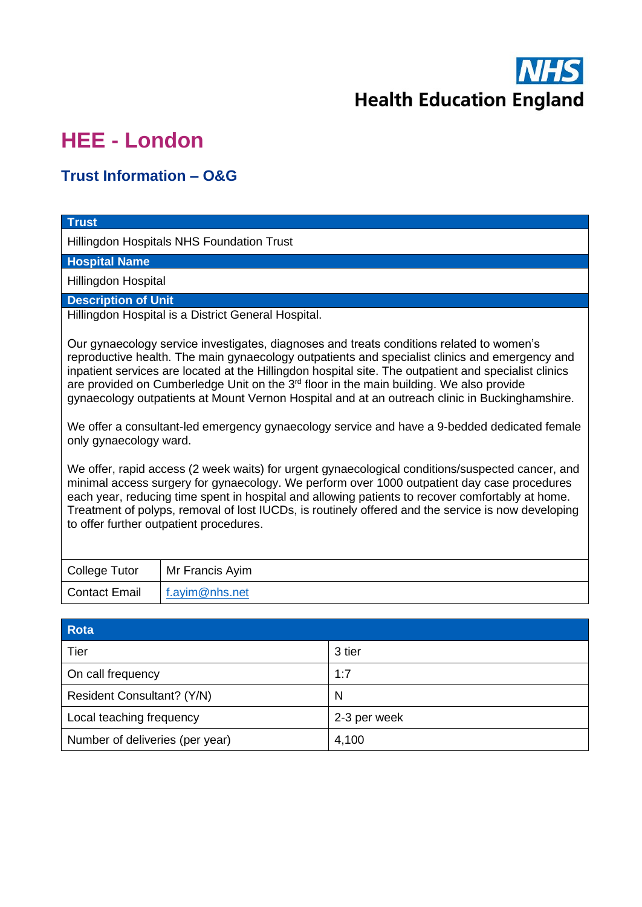

## **HEE - London**

## **Trust Information – O&G**

| <b>Trust</b>                                                                                                                                                                                                                                                                                                                                                                                                                                                                                                 |
|--------------------------------------------------------------------------------------------------------------------------------------------------------------------------------------------------------------------------------------------------------------------------------------------------------------------------------------------------------------------------------------------------------------------------------------------------------------------------------------------------------------|
| Hillingdon Hospitals NHS Foundation Trust                                                                                                                                                                                                                                                                                                                                                                                                                                                                    |
| <b>Hospital Name</b>                                                                                                                                                                                                                                                                                                                                                                                                                                                                                         |
| Hillingdon Hospital                                                                                                                                                                                                                                                                                                                                                                                                                                                                                          |
| <b>Description of Unit</b>                                                                                                                                                                                                                                                                                                                                                                                                                                                                                   |
| Hillingdon Hospital is a District General Hospital.                                                                                                                                                                                                                                                                                                                                                                                                                                                          |
| Our gynaecology service investigates, diagnoses and treats conditions related to women's<br>reproductive health. The main gynaecology outpatients and specialist clinics and emergency and<br>inpatient services are located at the Hillingdon hospital site. The outpatient and specialist clinics<br>are provided on Cumberledge Unit on the 3 <sup>rd</sup> floor in the main building. We also provide<br>gynaecology outpatients at Mount Vernon Hospital and at an outreach clinic in Buckinghamshire. |
| We offer a consultant-led emergency gynaecology service and have a 9-bedded dedicated female<br>only gynaecology ward.                                                                                                                                                                                                                                                                                                                                                                                       |
| We offer, rapid access (2 week waits) for urgent gynaecological conditions/suspected cancer, and<br>minimal access surgery for gynaecology. We perform over 1000 outpatient day case procedures<br>each year, reducing time spent in hospital and allowing patients to recover comfortably at home.<br>Treatment of polyps, removal of lost IUCDs, is routinely offered and the service is now developing<br>to offer further outpatient procedures.                                                         |

| College Tutor | Mr Francis Ayim |
|---------------|-----------------|
| Contact Email | f.ayim@nhs.net  |

| Rota                            |              |
|---------------------------------|--------------|
| Tier                            | 3 tier       |
| On call frequency               | 1:7          |
| Resident Consultant? (Y/N)      | N            |
| Local teaching frequency        | 2-3 per week |
| Number of deliveries (per year) | 4,100        |